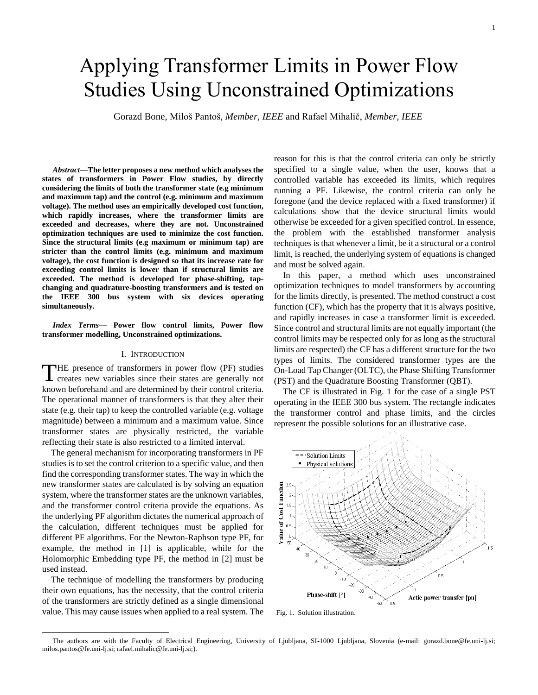# Applying Transformer Limits in Power Flow Studies Using Unconstrained Optimizations

Gorazd Bone, Miloš Pantoš, *Member, IEEE* and Rafael Mihalič, *Member, IEEE*

*Abstract***—The letter proposes a new method which analyses the states of transformers in Power Flow studies, by directly considering the limits of both the transformer state (e.g minimum and maximum tap) and the control (e.g. minimum and maximum voltage). The method uses an empirically developed cost function, which rapidly increases, where the transformer limits are exceeded and decreases, where they are not. Unconstrained optimization techniques are used to minimize the cost function. Since the structural limits (e.g maximum or minimum tap) are stricter than the control limits (e.g. minimum and maximum voltage), the cost function is designed so that its increase rate for exceeding control limits is lower than if structural limits are exceeded. The method is developed for phase-shifting, tapchanging and quadrature-boosting transformers and is tested on the IEEE 300 bus system with six devices operating simultaneously.**

*Index Terms***— Power flow control limits, Power flow transformer modelling, Unconstrained optimizations.**

## I. INTRODUCTION

THE presence of transformers in power flow (PF) studies<br>creates new variables since their states are generally not creates new variables since their states are generally not known beforehand and are determined by their control criteria. The operational manner of transformers is that they alter their state (e.g. their tap) to keep the controlled variable (e.g. voltage magnitude) between a minimum and a maximum value. Since transformer states are physically restricted, the variable reflecting their state is also restricted to a limited interval.

The general mechanism for incorporating transformers in PF studies is to set the control criterion to a specific value, and then find the corresponding transformer states. The way in which the new transformer states are calculated is by solving an equation system, where the transformer states are the unknown variables, and the transformer control criteria provide the equations. As the underlying PF algorithm dictates the numerical approach of the calculation, different techniques must be applied for different PF algorithms. For the Newton-Raphson type PF, for example, the method in [1] is applicable, while for the Holomorphic Embedding type PF, the method in [2] must be used instead.

The technique of modelling the transformers by producing their own equations, has the necessity, that the control criteria of the transformers are strictly defined as a single dimensional value. This may cause issues when applied to a real system. The

 $\overline{a}$ 

reason for this is that the control criteria can only be strictly specified to a single value, when the user, knows that a controlled variable has exceeded its limits, which requires running a PF. Likewise, the control criteria can only be foregone (and the device replaced with a fixed transformer) if calculations show that the device structural limits would otherwise be exceeded for a given specified control. In essence, the problem with the established transformer analysis techniques is that whenever a limit, be it a structural or a control limit, is reached, the underlying system of equations is changed and must be solved again.

In this paper, a method which uses unconstrained optimization techniques to model transformers by accounting for the limits directly, is presented. The method construct a cost function (CF), which has the property that it is always positive, and rapidly increases in case a transformer limit is exceeded. Since control and structural limits are not equally important (the control limits may be respected only for as long as the structural limits are respected) the CF has a different structure for the two types of limits. The considered transformer types are the On-Load Tap Changer (OLTC), the Phase Shifting Transformer (PST) and the Quadrature Boosting Transformer (QBT).

The CF is illustrated in [Fig. 1](#page-0-0) for the case of a single PST operating in the IEEE 300 bus system. The rectangle indicates the transformer control and phase limits, and the circles represent the possible solutions for an illustrative case.



<span id="page-0-0"></span>Fig. 1. Solution illustration.

The authors are with the Faculty of Electrical Engineering, University of Ljubljana, SI-1000 Ljubljana, Slovenia (e-mail: gorazd.bone@fe.uni-lj.si; milos.pantos@fe.uni-lj.si; rafael.mihalic@fe.uni-lj.si;).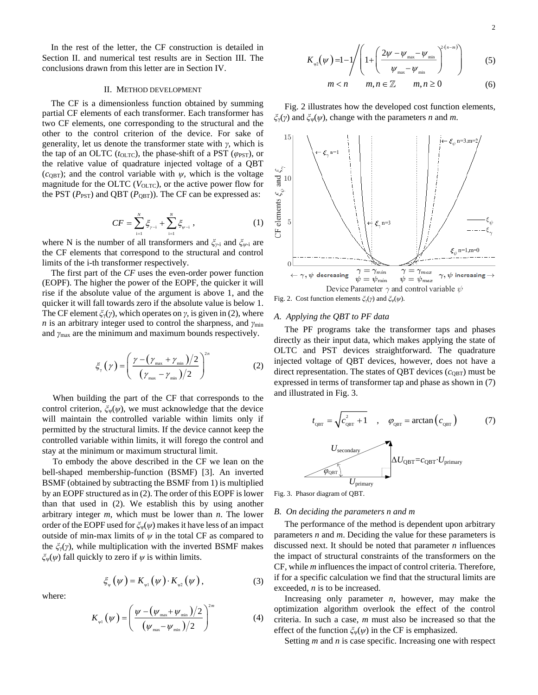In the rest of the letter, the CF construction is detailed in Section II. and numerical test results are in Section III. The conclusions drawn from this letter are in Section IV.

#### II. METHOD DEVELOPMENT

The CF is a dimensionless function obtained by summing partial CF elements of each transformer. Each transformer has two CF elements, one corresponding to the structural and the other to the control criterion of the device. For sake of generality, let us denote the transformer state with *γ,* which is the tap of an OLTC ( $t_{OLTC}$ ), the phase-shift of a PST ( $\varphi$ <sub>PST</sub>), or the relative value of quadrature injected voltage of a QBT  $(c<sub>QBT</sub>)$ ; and the control variable with  $\psi$ , which is the voltage magnitude for the OLTC ( $V_{OLTC}$ ), or the active power flow for the PST ( $P_{\text{PST}}$ ) and QBT ( $P_{\text{QBT}}$ )). The CF can be expressed as:

$$
CF = \sum_{i=1}^{N} \xi_{\gamma-i} + \sum_{i=1}^{N} \xi_{\psi-i} \tag{1}
$$

where N is the number of all transformers and *ξγ-*<sup>i</sup> and *ξψ-*<sup>i</sup> are the CF elements that correspond to the structural and control limits of the i-th transformer respectively.

The first part of the *CF* uses the even-order power function (EOPF). The higher the power of the EOPF, the quicker it will rise if the absolute value of the argument is above 1, and the quicker it will fall towards zero if the absolute value is below 1. The CF element *ξ*γ(*γ*), which operates on *γ,* is given in (2), where *n* is an arbitrary integer used to control the sharpness, and *γ*<sub>min</sub> and *γ*max are the minimum and maximum bounds respectively.

$$
\xi_{\gamma}\left(\gamma\right) = \left(\frac{\gamma - \left(\gamma_{\text{max}} + \gamma_{\text{min}}\right)/2}{\left(\gamma_{\text{max}} - \gamma_{\text{min}}\right)/2}\right)^{2n} \tag{2}
$$

When building the part of the CF that corresponds to the control criterion,  $\zeta_{\psi}(\psi)$ , we must acknowledge that the device will maintain the controlled variable within limits only if permitted by the structural limits. If the device cannot keep the controlled variable within limits, it will forego the control and stay at the minimum or maximum structural limit.

To embody the above described in the CF we lean on the bell-shaped membership-function (BSMF) [3]. An inverted BSMF (obtained by subtracting the BSMF from 1) is multiplied by an EOPF structured as in (2). The order of this EOPF is lower than that used in (2). We establish this by using another arbitrary integer *m*, which must be lower than *n*. The lower order of the EOPF used for *ξ*ψ(*ψ*) makes it have less of an impact outside of min-max limits of  $\psi$  in the total CF as compared to the *ξ*γ(*γ*), while multiplication with the inverted BSMF makes *ξ*ψ(*ψ*) fall quickly to zero if *ψ* is within limits.

where:

$$
K_{\psi_{1}}(\psi) = \left(\frac{\psi - (\psi_{\max} + \psi_{\min})/2}{(\psi_{\max} - \psi_{\min})/2}\right)^{2m}
$$
(4)

 $\xi_{\psi}(\psi) = K_{\psi1}(\psi) \cdot K_{\psi2}(\psi)$ , (3)

$$
K_{\varphi2}(\psi) = 1 - 1 / \left( 1 + \left( \frac{2\psi - \psi_{\max} - \psi_{\min}}{\psi_{\max} - \psi_{\min}} \right)^{2(n-m)} \right) \tag{5}
$$

$$
m < n \qquad m, n \in \mathbb{Z} \qquad m, n \ge 0 \tag{6}
$$

[Fig. 2](#page-1-0) illustrates how the developed cost function elements, *ξ*γ(*γ*) and *ξ*ψ(*ψ*), change with the parameters *n* and *m*.



<span id="page-1-0"></span>Fig. 2. Cost function elements *ξ*γ(*γ*) and *ξ*ψ(*ψ*).

# *A. Applying the QBT to PF data*

The PF programs take the transformer taps and phases directly as their input data, which makes applying the state of OLTC and PST devices straightforward. The quadrature injected voltage of QBT devices, however, does not have a direct representation. The states of QBT devices ( $c<sub>QBT</sub>$ ) must be expressed in terms of transformer tap and phase as shown in (7) and illustrated i[n Fig. 3.](#page-1-1)

$$
t_{\text{QBT}} = \sqrt{c_{\text{QBT}}^2 + 1} \qquad , \qquad \varphi_{\text{QBT}} = \arctan (c_{\text{QBT}})
$$
 (7)  
  
*U*<sub>secondary</sub>  

$$
\bigotimes_{\varphi_{\text{QBT}}} \bigotimes_{U_{\text{primary}}}
$$

<span id="page-1-1"></span>Fig. 3. Phasor diagram of QBT.

# *B. On deciding the parameters n and m*

The performance of the method is dependent upon arbitrary parameters *n* and *m*. Deciding the value for these parameters is discussed next. It should be noted that parameter *n* influences the impact of structural constraints of the transformers on the CF, while *m* influences the impact of control criteria. Therefore, if for a specific calculation we find that the structural limits are exceeded, *n* is to be increased.

Increasing only parameter  $n$ , however, may make the optimization algorithm overlook the effect of the control criteria. In such a case, *m* must also be increased so that the effect of the function  $\zeta_{\psi}(\psi)$  in the CF is emphasized.

Setting *m* and *n* is case specific. Increasing one with respect